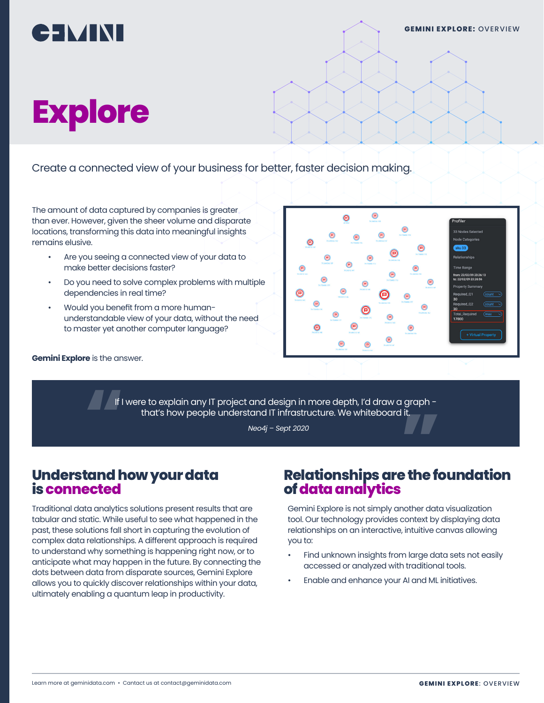

# **Explore**

Create a connected view of your business for better, faster decision making.

The amount of data captured by companies is greater than ever. However, given the sheer volume and disparate locations, transforming this data into meaningful insights remains elusive.

- Are you seeing a connected view of your data to make better decisions faster?
- Do you need to solve complex problems with multiple dependencies in real time?
- Would you benefit from a more humanunderstandable view of your data, without the need to master yet another computer language?

**Gemini Explore** is the answer.



If I were to explain any IT project and design in more depth, I'd draw a graph -<br> **"** that's how people understand IT infrastructure. We whiteboard it.<br> *Neo4j - Sept 2020* that's how people understand IT infrastructure. We whiteboard it.

#### **Understand how your data is connected**

Traditional data analytics solutions present results that are tabular and static. While useful to see what happened in the past, these solutions fall short in capturing the evolution of complex data relationships. A different approach is required to understand why something is happening right now, or to anticipate what may happen in the future. By connecting the dots between data from disparate sources, Gemini Explore allows you to quickly discover relationships within your data, ultimately enabling a quantum leap in productivity.

# <sub>pt 2020</sub><br>Relationships are the foundation<br>of data analytics **of data analytics**

Gemini Explore is not simply another data visualization tool. Our technology provides context by displaying data relationships on an interactive, intuitive canvas allowing you to:

- Find unknown insights from large data sets not easily accessed or analyzed with traditional tools.
- Enable and enhance your AI and ML initiatives.